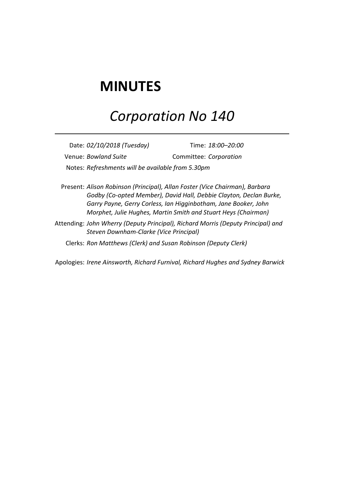## **MINUTES**

## *Corporation No 140*

Date: *02/10/2018 (Tuesday)* Time: *18:00–20:00* Venue: *Bowland Suite* Committee: *Corporation* Notes: *Refreshments will be available from 5.30pm*

Present: *Alison Robinson (Principal), Allan Foster (Vice Chairman), Barbara Godby (Co-opted Member), David Hall, Debbie Clayton, Declan Burke, Garry Payne, Gerry Corless, Ian Higginbotham, Jane Booker, John Morphet, Julie Hughes, Martin Smith and Stuart Heys (Chairman)*

Attending: *John Wherry (Deputy Principal), Richard Morris (Deputy Principal) and Steven Downham-Clarke (Vice Principal)*

Clerks: *Ron Matthews (Clerk) and Susan Robinson (Deputy Clerk)*

Apologies: *Irene Ainsworth, Richard Furnival, Richard Hughes and Sydney Barwick*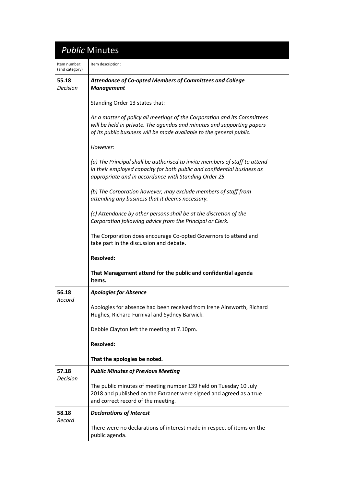## *Public* Minutes

| Item number:<br>(and category) | Item description:                                                                                                                                                                                                          |  |
|--------------------------------|----------------------------------------------------------------------------------------------------------------------------------------------------------------------------------------------------------------------------|--|
| 55.18<br><b>Decision</b>       | <b>Attendance of Co-opted Members of Committees and College</b><br><b>Management</b>                                                                                                                                       |  |
|                                | Standing Order 13 states that:                                                                                                                                                                                             |  |
|                                | As a matter of policy all meetings of the Corporation and its Committees<br>will be held in private. The agendas and minutes and supporting papers<br>of its public business will be made available to the general public. |  |
|                                | However:                                                                                                                                                                                                                   |  |
|                                | (a) The Principal shall be authorised to invite members of staff to attend<br>in their employed capacity for both public and confidential business as<br>appropriate and in accordance with Standing Order 25.             |  |
|                                | (b) The Corporation however, may exclude members of staff from<br>attending any business that it deems necessary.                                                                                                          |  |
|                                | (c) Attendance by other persons shall be at the discretion of the<br>Corporation following advice from the Principal or Clerk.                                                                                             |  |
|                                | The Corporation does encourage Co-opted Governors to attend and<br>take part in the discussion and debate.                                                                                                                 |  |
|                                | <b>Resolved:</b>                                                                                                                                                                                                           |  |
|                                | That Management attend for the public and confidential agenda<br>items.                                                                                                                                                    |  |
| 56.18                          | <b>Apologies for Absence</b>                                                                                                                                                                                               |  |
| Record                         | Apologies for absence had been received from Irene Ainsworth, Richard<br>Hughes, Richard Furnival and Sydney Barwick.                                                                                                      |  |
|                                | Debbie Clayton left the meeting at 7.10pm.                                                                                                                                                                                 |  |
|                                | <b>Resolved:</b>                                                                                                                                                                                                           |  |
|                                | That the apologies be noted.                                                                                                                                                                                               |  |
| 57.18<br><b>Decision</b>       | <b>Public Minutes of Previous Meeting</b>                                                                                                                                                                                  |  |
|                                | The public minutes of meeting number 139 held on Tuesday 10 July<br>2018 and published on the Extranet were signed and agreed as a true<br>and correct record of the meeting.                                              |  |
| 58.18<br>Record                | <b>Declarations of Interest</b>                                                                                                                                                                                            |  |
|                                |                                                                                                                                                                                                                            |  |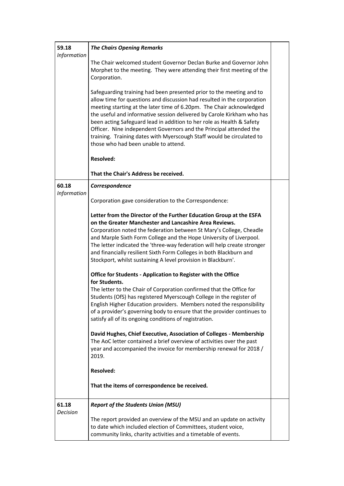| 59.18<br>Information     | <b>The Chairs Opening Remarks</b>                                                                                                                                                                                                                                                                                                                                                                                                                                                                                                                                 |  |
|--------------------------|-------------------------------------------------------------------------------------------------------------------------------------------------------------------------------------------------------------------------------------------------------------------------------------------------------------------------------------------------------------------------------------------------------------------------------------------------------------------------------------------------------------------------------------------------------------------|--|
|                          | The Chair welcomed student Governor Declan Burke and Governor John<br>Morphet to the meeting. They were attending their first meeting of the<br>Corporation.                                                                                                                                                                                                                                                                                                                                                                                                      |  |
|                          | Safeguarding training had been presented prior to the meeting and to<br>allow time for questions and discussion had resulted in the corporation<br>meeting starting at the later time of 6.20pm. The Chair acknowledged<br>the useful and informative session delivered by Carole Kirkham who has<br>been acting Safeguard lead in addition to her role as Health & Safety<br>Officer. Nine independent Governors and the Principal attended the<br>training. Training dates with Myerscough Staff would be circulated to<br>those who had been unable to attend. |  |
|                          | <b>Resolved:</b>                                                                                                                                                                                                                                                                                                                                                                                                                                                                                                                                                  |  |
|                          | That the Chair's Address be received.                                                                                                                                                                                                                                                                                                                                                                                                                                                                                                                             |  |
| 60.18<br>Information     | Correspondence                                                                                                                                                                                                                                                                                                                                                                                                                                                                                                                                                    |  |
|                          | Corporation gave consideration to the Correspondence:                                                                                                                                                                                                                                                                                                                                                                                                                                                                                                             |  |
|                          | Letter from the Director of the Further Education Group at the ESFA<br>on the Greater Manchester and Lancashire Area Reviews.<br>Corporation noted the federation between St Mary's College, Cheadle<br>and Marple Sixth Form College and the Hope University of Liverpool.<br>The letter indicated the 'three-way federation will help create stronger<br>and financially resilient Sixth Form Colleges in both Blackburn and<br>Stockport, whilst sustaining A level provision in Blackburn'.                                                                   |  |
|                          | Office for Students - Application to Register with the Office<br>for Students.                                                                                                                                                                                                                                                                                                                                                                                                                                                                                    |  |
|                          | The letter to the Chair of Corporation confirmed that the Office for<br>Students (OfS) has registered Myerscough College in the register of<br>English Higher Education providers. Members noted the responsibility<br>of a provider's governing body to ensure that the provider continues to<br>satisfy all of its ongoing conditions of registration.                                                                                                                                                                                                          |  |
|                          | David Hughes, Chief Executive, Association of Colleges - Membership<br>The AoC letter contained a brief overview of activities over the past<br>year and accompanied the invoice for membership renewal for 2018 /<br>2019.                                                                                                                                                                                                                                                                                                                                       |  |
|                          | <b>Resolved:</b>                                                                                                                                                                                                                                                                                                                                                                                                                                                                                                                                                  |  |
|                          | That the items of correspondence be received.                                                                                                                                                                                                                                                                                                                                                                                                                                                                                                                     |  |
| 61.18<br><b>Decision</b> | <b>Report of the Students Union (MSU)</b>                                                                                                                                                                                                                                                                                                                                                                                                                                                                                                                         |  |
|                          | The report provided an overview of the MSU and an update on activity<br>to date which included election of Committees, student voice,<br>community links, charity activities and a timetable of events.                                                                                                                                                                                                                                                                                                                                                           |  |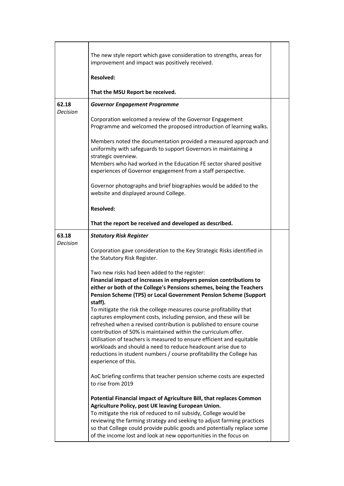|                          | The new style report which gave consideration to strengths, areas for<br>improvement and impact was positively received.<br><b>Resolved:</b>                                                                                                                                                                                                                                                                                                                                                                                                                                                                                                                                                                                                                                                           |  |
|--------------------------|--------------------------------------------------------------------------------------------------------------------------------------------------------------------------------------------------------------------------------------------------------------------------------------------------------------------------------------------------------------------------------------------------------------------------------------------------------------------------------------------------------------------------------------------------------------------------------------------------------------------------------------------------------------------------------------------------------------------------------------------------------------------------------------------------------|--|
|                          | That the MSU Report be received.                                                                                                                                                                                                                                                                                                                                                                                                                                                                                                                                                                                                                                                                                                                                                                       |  |
| 62.18<br><b>Decision</b> | <b>Governor Engagement Programme</b>                                                                                                                                                                                                                                                                                                                                                                                                                                                                                                                                                                                                                                                                                                                                                                   |  |
|                          | Corporation welcomed a review of the Governor Engagement<br>Programme and welcomed the proposed introduction of learning walks.                                                                                                                                                                                                                                                                                                                                                                                                                                                                                                                                                                                                                                                                        |  |
|                          | Members noted the documentation provided a measured approach and<br>uniformity with safeguards to support Governors in maintaining a<br>strategic overview.<br>Members who had worked in the Education FE sector shared positive<br>experiences of Governor engagement from a staff perspective.                                                                                                                                                                                                                                                                                                                                                                                                                                                                                                       |  |
|                          | Governor photographs and brief biographies would be added to the<br>website and displayed around College.                                                                                                                                                                                                                                                                                                                                                                                                                                                                                                                                                                                                                                                                                              |  |
|                          | <b>Resolved:</b>                                                                                                                                                                                                                                                                                                                                                                                                                                                                                                                                                                                                                                                                                                                                                                                       |  |
|                          | That the report be received and developed as described.                                                                                                                                                                                                                                                                                                                                                                                                                                                                                                                                                                                                                                                                                                                                                |  |
| 63.18<br><b>Decision</b> | <b>Statutory Risk Register</b><br>Corporation gave consideration to the Key Strategic Risks identified in<br>the Statutory Risk Register.                                                                                                                                                                                                                                                                                                                                                                                                                                                                                                                                                                                                                                                              |  |
|                          | Two new risks had been added to the register:<br>Financial impact of increases in employers pension contributions to<br>either or both of the College's Pensions schemes, being the Teachers<br>Pension Scheme (TPS) or Local Government Pension Scheme (Support<br>staff).<br>To mitigate the risk the college measures course profitability that<br>captures employment costs, including pension, and these will be<br>refreshed when a revised contribution is published to ensure course<br>contribution of 50% is maintained within the curriculum offer.<br>Utilisation of teachers is measured to ensure efficient and equitable<br>workloads and should a need to reduce headcount arise due to<br>reductions in student numbers / course profitability the College has<br>experience of this. |  |
|                          | AoC briefing confirms that teacher pension scheme costs are expected<br>to rise from 2019<br>Potential Financial impact of Agriculture Bill, that replaces Common<br>Agriculture Policy, post UK leaving European Union.<br>To mitigate the risk of reduced to nil subsidy, College would be<br>reviewing the farming strategy and seeking to adjust farming practices<br>so that College could provide public goods and potentially replace some<br>of the income lost and look at new opportunities in the focus on                                                                                                                                                                                                                                                                                  |  |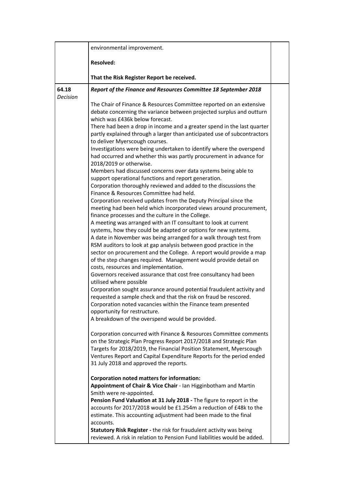|          | environmental improvement.                                                                                                                                                                                                                                                                                                                                                                                                                                                                                                                                                                                                                                                                                                                                                                                                                                                                                                                                                                                                                                                                                                                                                                                                                                                                                                                                                                                                                                                                                                                                                                                                                                                                                                                                                                                                                                                                                                                                                                                                                                                                                                                                                                                                                                                                                                                                                                                                   |  |
|----------|------------------------------------------------------------------------------------------------------------------------------------------------------------------------------------------------------------------------------------------------------------------------------------------------------------------------------------------------------------------------------------------------------------------------------------------------------------------------------------------------------------------------------------------------------------------------------------------------------------------------------------------------------------------------------------------------------------------------------------------------------------------------------------------------------------------------------------------------------------------------------------------------------------------------------------------------------------------------------------------------------------------------------------------------------------------------------------------------------------------------------------------------------------------------------------------------------------------------------------------------------------------------------------------------------------------------------------------------------------------------------------------------------------------------------------------------------------------------------------------------------------------------------------------------------------------------------------------------------------------------------------------------------------------------------------------------------------------------------------------------------------------------------------------------------------------------------------------------------------------------------------------------------------------------------------------------------------------------------------------------------------------------------------------------------------------------------------------------------------------------------------------------------------------------------------------------------------------------------------------------------------------------------------------------------------------------------------------------------------------------------------------------------------------------------|--|
|          | <b>Resolved:</b>                                                                                                                                                                                                                                                                                                                                                                                                                                                                                                                                                                                                                                                                                                                                                                                                                                                                                                                                                                                                                                                                                                                                                                                                                                                                                                                                                                                                                                                                                                                                                                                                                                                                                                                                                                                                                                                                                                                                                                                                                                                                                                                                                                                                                                                                                                                                                                                                             |  |
|          | That the Risk Register Report be received.                                                                                                                                                                                                                                                                                                                                                                                                                                                                                                                                                                                                                                                                                                                                                                                                                                                                                                                                                                                                                                                                                                                                                                                                                                                                                                                                                                                                                                                                                                                                                                                                                                                                                                                                                                                                                                                                                                                                                                                                                                                                                                                                                                                                                                                                                                                                                                                   |  |
| 64.18    | Report of the Finance and Resources Committee 18 September 2018                                                                                                                                                                                                                                                                                                                                                                                                                                                                                                                                                                                                                                                                                                                                                                                                                                                                                                                                                                                                                                                                                                                                                                                                                                                                                                                                                                                                                                                                                                                                                                                                                                                                                                                                                                                                                                                                                                                                                                                                                                                                                                                                                                                                                                                                                                                                                              |  |
| Decision | The Chair of Finance & Resources Committee reported on an extensive<br>debate concerning the variance between projected surplus and outturn<br>which was £436k below forecast.<br>There had been a drop in income and a greater spend in the last quarter<br>partly explained through a larger than anticipated use of subcontractors<br>to deliver Myerscough courses.<br>Investigations were being undertaken to identify where the overspend<br>had occurred and whether this was partly procurement in advance for<br>2018/2019 or otherwise.<br>Members had discussed concerns over data systems being able to<br>support operational functions and report generation.<br>Corporation thoroughly reviewed and added to the discussions the<br>Finance & Resources Committee had held.<br>Corporation received updates from the Deputy Principal since the<br>meeting had been held which incorporated views around procurement,<br>finance processes and the culture in the College.<br>A meeting was arranged with an IT consultant to look at current<br>systems, how they could be adapted or options for new systems.<br>A date in November was being arranged for a walk through test from<br>RSM auditors to look at gap analysis between good practice in the<br>sector on procurement and the College. A report would provide a map<br>of the step changes required. Management would provide detail on<br>costs, resources and implementation.<br>Governors received assurance that cost free consultancy had been<br>utilised where possible<br>Corporation sought assurance around potential fraudulent activity and<br>requested a sample check and that the risk on fraud be rescored.<br>Corporation noted vacancies within the Finance team presented<br>opportunity for restructure.<br>A breakdown of the overspend would be provided.<br>Corporation concurred with Finance & Resources Committee comments<br>on the Strategic Plan Progress Report 2017/2018 and Strategic Plan<br>Targets for 2018/2019, the Financial Position Statement, Myerscough<br>Ventures Report and Capital Expenditure Reports for the period ended<br>31 July 2018 and approved the reports.<br><b>Corporation noted matters for information:</b><br>Appointment of Chair & Vice Chair - Ian Higginbotham and Martin<br>Smith were re-appointed.<br>Pension Fund Valuation at 31 July 2018 - The figure to report in the |  |
|          | accounts for 2017/2018 would be £1.254m a reduction of £48k to the<br>estimate. This accounting adjustment had been made to the final<br>accounts.                                                                                                                                                                                                                                                                                                                                                                                                                                                                                                                                                                                                                                                                                                                                                                                                                                                                                                                                                                                                                                                                                                                                                                                                                                                                                                                                                                                                                                                                                                                                                                                                                                                                                                                                                                                                                                                                                                                                                                                                                                                                                                                                                                                                                                                                           |  |
|          | Statutory Risk Register - the risk for fraudulent activity was being<br>reviewed. A risk in relation to Pension Fund liabilities would be added.                                                                                                                                                                                                                                                                                                                                                                                                                                                                                                                                                                                                                                                                                                                                                                                                                                                                                                                                                                                                                                                                                                                                                                                                                                                                                                                                                                                                                                                                                                                                                                                                                                                                                                                                                                                                                                                                                                                                                                                                                                                                                                                                                                                                                                                                             |  |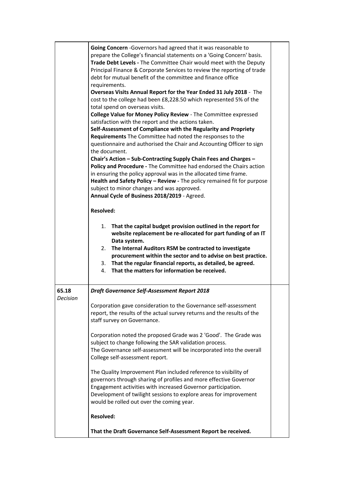|                   | Going Concern - Governors had agreed that it was reasonable to<br>prepare the College's financial statements on a 'Going Concern' basis.<br>Trade Debt Levels - The Committee Chair would meet with the Deputy<br>Principal Finance & Corporate Services to review the reporting of trade<br>debt for mutual benefit of the committee and finance office<br>requirements.<br>Overseas Visits Annual Report for the Year Ended 31 July 2018 - The<br>cost to the college had been £8,228.50 which represented 5% of the<br>total spend on overseas visits.<br>College Value for Money Policy Review - The Committee expressed<br>satisfaction with the report and the actions taken.<br>Self-Assessment of Compliance with the Regularity and Propriety<br>Requirements The Committee had noted the responses to the<br>questionnaire and authorised the Chair and Accounting Officer to sign<br>the document.<br>Chair's Action - Sub-Contracting Supply Chain Fees and Charges -<br>Policy and Procedure - The Committee had endorsed the Chairs action<br>in ensuring the policy approval was in the allocated time frame.<br>Health and Safety Policy - Review - The policy remained fit for purpose<br>subject to minor changes and was approved.<br>Annual Cycle of Business 2018/2019 - Agreed.<br><b>Resolved:</b><br>That the capital budget provision outlined in the report for<br>1.<br>website replacement be re-allocated for part funding of an IT<br>Data system.<br>The Internal Auditors RSM be contracted to investigate<br>2.<br>procurement within the sector and to advise on best practice.<br>3. That the regular financial reports, as detailed, be agreed.<br>That the matters for information be received.<br>4. |  |
|-------------------|--------------------------------------------------------------------------------------------------------------------------------------------------------------------------------------------------------------------------------------------------------------------------------------------------------------------------------------------------------------------------------------------------------------------------------------------------------------------------------------------------------------------------------------------------------------------------------------------------------------------------------------------------------------------------------------------------------------------------------------------------------------------------------------------------------------------------------------------------------------------------------------------------------------------------------------------------------------------------------------------------------------------------------------------------------------------------------------------------------------------------------------------------------------------------------------------------------------------------------------------------------------------------------------------------------------------------------------------------------------------------------------------------------------------------------------------------------------------------------------------------------------------------------------------------------------------------------------------------------------------------------------------------------------------------------------------------------------------------------------------|--|
| 65.18<br>Decision | <b>Draft Governance Self-Assessment Report 2018</b>                                                                                                                                                                                                                                                                                                                                                                                                                                                                                                                                                                                                                                                                                                                                                                                                                                                                                                                                                                                                                                                                                                                                                                                                                                                                                                                                                                                                                                                                                                                                                                                                                                                                                        |  |
|                   | Corporation gave consideration to the Governance self-assessment<br>report, the results of the actual survey returns and the results of the<br>staff survey on Governance.                                                                                                                                                                                                                                                                                                                                                                                                                                                                                                                                                                                                                                                                                                                                                                                                                                                                                                                                                                                                                                                                                                                                                                                                                                                                                                                                                                                                                                                                                                                                                                 |  |
|                   | Corporation noted the proposed Grade was 2 'Good'. The Grade was<br>subject to change following the SAR validation process.<br>The Governance self-assessment will be incorporated into the overall<br>College self-assessment report.                                                                                                                                                                                                                                                                                                                                                                                                                                                                                                                                                                                                                                                                                                                                                                                                                                                                                                                                                                                                                                                                                                                                                                                                                                                                                                                                                                                                                                                                                                     |  |
|                   | The Quality Improvement Plan included reference to visibility of<br>governors through sharing of profiles and more effective Governor<br>Engagement activities with increased Governor participation.<br>Development of twilight sessions to explore areas for improvement<br>would be rolled out over the coming year.                                                                                                                                                                                                                                                                                                                                                                                                                                                                                                                                                                                                                                                                                                                                                                                                                                                                                                                                                                                                                                                                                                                                                                                                                                                                                                                                                                                                                    |  |
|                   | <b>Resolved:</b>                                                                                                                                                                                                                                                                                                                                                                                                                                                                                                                                                                                                                                                                                                                                                                                                                                                                                                                                                                                                                                                                                                                                                                                                                                                                                                                                                                                                                                                                                                                                                                                                                                                                                                                           |  |
|                   | That the Draft Governance Self-Assessment Report be received.                                                                                                                                                                                                                                                                                                                                                                                                                                                                                                                                                                                                                                                                                                                                                                                                                                                                                                                                                                                                                                                                                                                                                                                                                                                                                                                                                                                                                                                                                                                                                                                                                                                                              |  |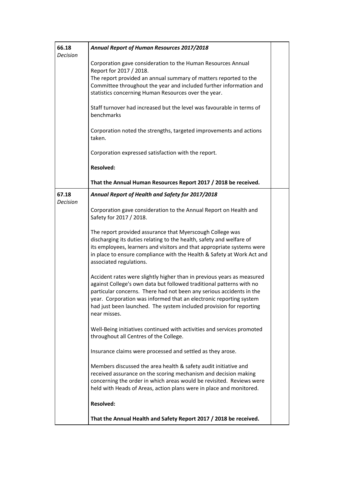| 66.18<br><b>Decision</b> | Annual Report of Human Resources 2017/2018                                                                                                                                                                                                                                                                                                                                          |
|--------------------------|-------------------------------------------------------------------------------------------------------------------------------------------------------------------------------------------------------------------------------------------------------------------------------------------------------------------------------------------------------------------------------------|
|                          | Corporation gave consideration to the Human Resources Annual<br>Report for 2017 / 2018.                                                                                                                                                                                                                                                                                             |
|                          | The report provided an annual summary of matters reported to the<br>Committee throughout the year and included further information and<br>statistics concerning Human Resources over the year.                                                                                                                                                                                      |
|                          | Staff turnover had increased but the level was favourable in terms of<br>benchmarks                                                                                                                                                                                                                                                                                                 |
|                          | Corporation noted the strengths, targeted improvements and actions<br>taken.                                                                                                                                                                                                                                                                                                        |
|                          | Corporation expressed satisfaction with the report.                                                                                                                                                                                                                                                                                                                                 |
|                          | <b>Resolved:</b>                                                                                                                                                                                                                                                                                                                                                                    |
|                          | That the Annual Human Resources Report 2017 / 2018 be received.                                                                                                                                                                                                                                                                                                                     |
| 67.18<br><b>Decision</b> | Annual Report of Health and Safety for 2017/2018                                                                                                                                                                                                                                                                                                                                    |
|                          | Corporation gave consideration to the Annual Report on Health and<br>Safety for 2017 / 2018.                                                                                                                                                                                                                                                                                        |
|                          | The report provided assurance that Myerscough College was<br>discharging its duties relating to the health, safety and welfare of<br>its employees, learners and visitors and that appropriate systems were<br>in place to ensure compliance with the Health & Safety at Work Act and<br>associated regulations.                                                                    |
|                          | Accident rates were slightly higher than in previous years as measured<br>against College's own data but followed traditional patterns with no<br>particular concerns. There had not been any serious accidents in the<br>year. Corporation was informed that an electronic reporting system<br>had just been launched. The system included provision for reporting<br>near misses. |
|                          | Well-Being initiatives continued with activities and services promoted<br>throughout all Centres of the College.                                                                                                                                                                                                                                                                    |
|                          | Insurance claims were processed and settled as they arose.                                                                                                                                                                                                                                                                                                                          |
|                          | Members discussed the area health & safety audit initiative and<br>received assurance on the scoring mechanism and decision making<br>concerning the order in which areas would be revisited. Reviews were<br>held with Heads of Areas, action plans were in place and monitored.                                                                                                   |
|                          | <b>Resolved:</b>                                                                                                                                                                                                                                                                                                                                                                    |
|                          | That the Annual Health and Safety Report 2017 / 2018 be received.                                                                                                                                                                                                                                                                                                                   |
|                          |                                                                                                                                                                                                                                                                                                                                                                                     |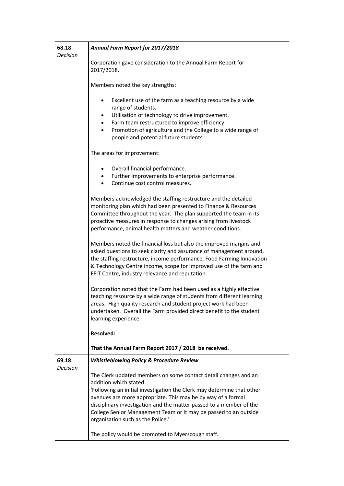| 68.18<br><b>Decision</b> | Annual Farm Report for 2017/2018                                                                                                                                                                                                                                                                                                                                                                                    |  |
|--------------------------|---------------------------------------------------------------------------------------------------------------------------------------------------------------------------------------------------------------------------------------------------------------------------------------------------------------------------------------------------------------------------------------------------------------------|--|
|                          | Corporation gave consideration to the Annual Farm Report for<br>2017/2018.                                                                                                                                                                                                                                                                                                                                          |  |
|                          | Members noted the key strengths:                                                                                                                                                                                                                                                                                                                                                                                    |  |
|                          | Excellent use of the farm as a teaching resource by a wide<br>$\bullet$<br>range of students.<br>Utilisation of technology to drive improvement.<br>$\bullet$<br>Farm team restructured to improve efficiency.<br>$\bullet$<br>Promotion of agriculture and the College to a wide range of<br>$\bullet$<br>people and potential future students.                                                                    |  |
|                          | The areas for improvement:                                                                                                                                                                                                                                                                                                                                                                                          |  |
|                          | Overall financial performance.<br>$\bullet$<br>Further improvements to enterprise performance.<br>$\bullet$<br>Continue cost control measures.<br>$\bullet$                                                                                                                                                                                                                                                         |  |
|                          | Members acknowledged the staffing restructure and the detailed<br>monitoring plan which had been presented to Finance & Resources<br>Committee throughout the year. The plan supported the team in its<br>proactive measures in response to changes arising from livestock<br>performance, animal health matters and weather conditions.                                                                            |  |
|                          | Members noted the financial loss but also the improved margins and<br>asked questions to seek clarity and assurance of management around,<br>the staffing restructure, income performance, Food Farming Innovation<br>& Technology Centre income, scope for improved use of the farm and<br>FFIT Centre, industry relevance and reputation.                                                                         |  |
|                          | Corporation noted that the Farm had been used as a highly effective<br>teaching resource by a wide range of students from different learning<br>areas. High quality research and student project work had been<br>undertaken. Overall the Farm provided direct benefit to the student<br>learning experience.                                                                                                       |  |
|                          | <b>Resolved:</b>                                                                                                                                                                                                                                                                                                                                                                                                    |  |
|                          | That the Annual Farm Report 2017 / 2018 be received.                                                                                                                                                                                                                                                                                                                                                                |  |
| 69.18<br>Decision        | <b>Whistleblowing Policy &amp; Procedure Review</b>                                                                                                                                                                                                                                                                                                                                                                 |  |
|                          | The Clerk updated members on some contact detail changes and an<br>addition which stated:<br>'Following an initial investigation the Clerk may determine that other<br>avenues are more appropriate. This may be by way of a formal<br>disciplinary investigation and the matter passed to a member of the<br>College Senior Management Team or it may be passed to an outside<br>organisation such as the Police.' |  |
|                          | The policy would be promoted to Myerscough staff.                                                                                                                                                                                                                                                                                                                                                                   |  |